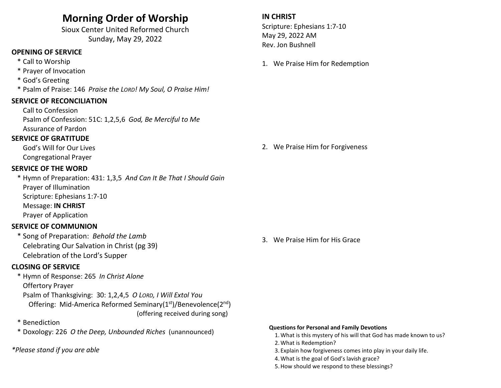# Morning Order of Worship

Sioux Center United Reformed Church Sunday, May 29, 2022

## OPENING OF SERVICE

- \* Call to Worship
- \* Prayer of Invocation
- \* God's Greeting
- \* Psalm of Praise: 146 Praise the LORD! My Soul, O Praise Him!

### SERVICE OF RECONCILIATION

 Call to Confession Psalm of Confession: 51C: 1,2,5,6 God, Be Merciful to Me Assurance of Pardon

### SERVICE OF GRATITUDE

 God's Will for Our Lives Congregational Prayer

### SERVICE OF THE WORD

\* Hymn of Preparation: 431: 1,3,5 And Can It Be That I Should Gain Prayer of Illumination Scripture: Ephesians 1:7-10 Message: IN CHRIST Prayer of Application

### SERVICE OF COMMUNION

 \* Song of Preparation: Behold the Lamb Celebrating Our Salvation in Christ (pg 39) Celebration of the Lord's Supper

### CLOSING OF SERVICE

 \* Hymn of Response: 265 In Christ Alone Offertory Prayer Psalm of Thanksgiving: 30: 1,2,4,5 O LORD, I Will Extol You Offering: Mid-America Reformed Seminary(1<sup>st</sup>)/Benevolence(2<sup>nd</sup>) (offering received during song)

- \* Benediction
- \* Doxology: 226 O the Deep, Unbounded Riches (unannounced)

### \*Please stand if you are able

### IN CHRIST

Scripture: Ephesians 1:7-10 May 29, 2022 AM Rev. Jon Bushnell

1. We Praise Him for Redemption

### 2. We Praise Him for Forgiveness

3. We Praise Him for His Grace

#### Questions for Personal and Family Devotions

- 1.What is this mystery of his will that God has made known to us? 2.What is Redemption?
- 
- 3. Explain how forgiveness comes into play in your daily life.
- 4.What is the goal of God's lavish grace?
- 5.How should we respond to these blessings?